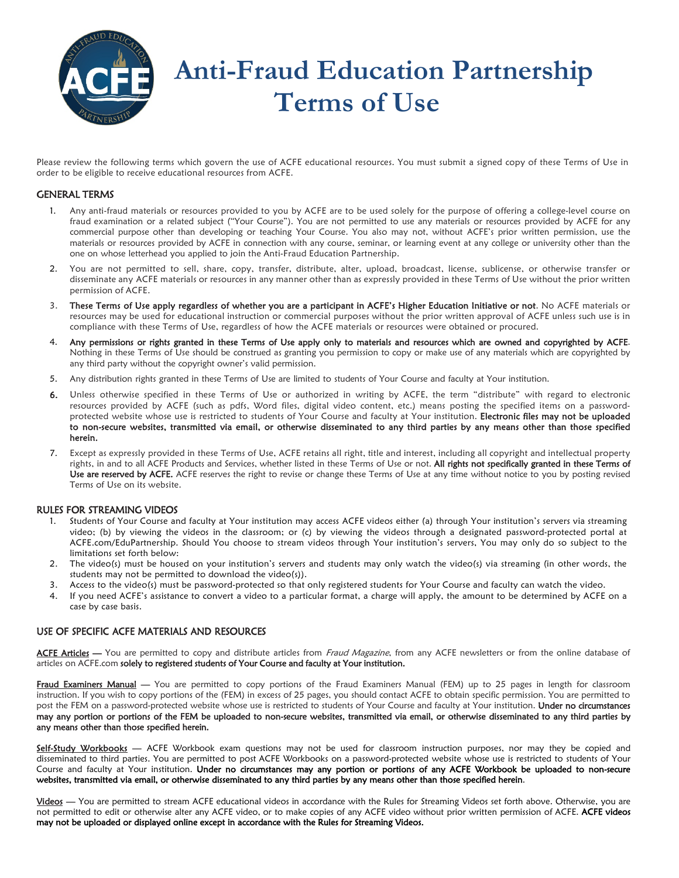

Please review the following terms which govern the use of ACFE educational resources. You must submit a signed copy of these Terms of Use in order to be eligible to receive educational resources from ACFE.

## GENERAL TERMS

- 1. Any anti-fraud materials or resources provided to you by ACFE are to be used solely for the purpose of offering a college-level course on fraud examination or a related subject ("Your Course"). You are not permitted to use any materials or resources provided by ACFE for any commercial purpose other than developing or teaching Your Course. You also may not, without ACFE's prior written permission, use the materials or resources provided by ACFE in connection with any course, seminar, or learning event at any college or university other than the one on whose letterhead you applied to join the Anti-Fraud Education Partnership.
- 2. You are not permitted to sell, share, copy, transfer, distribute, alter, upload, broadcast, license, sublicense, or otherwise transfer or disseminate any ACFE materials or resources in any manner other than as expressly provided in these Terms of Use without the prior written permission of ACFE.
- 3. These Terms of Use apply regardless of whether you are a participant in ACFE's Higher Education Initiative or not. No ACFE materials or resources may be used for educational instruction or commercial purposes without the prior written approval of ACFE unless such use is in compliance with these Terms of Use, regardless of how the ACFE materials or resources were obtained or procured.
- 4. Any permissions or rights granted in these Terms of Use apply only to materials and resources which are owned and copyrighted by ACFE. Nothing in these Terms of Use should be construed as granting you permission to copy or make use of any materials which are copyrighted by any third party without the copyright owner's valid permission.
- 5. Any distribution rights granted in these Terms of Use are limited to students of Your Course and faculty at Your institution.
- 6. Unless otherwise specified in these Terms of Use or authorized in writing by ACFE, the term "distribute" with regard to electronic resources provided by ACFE (such as pdfs, Word files, digital video content, etc.) means posting the specified items on a passwordprotected website whose use is restricted to students of Your Course and faculty at Your institution. Electronic files may not be uploaded to non-secure websites, transmitted via email, or otherwise disseminated to any third parties by any means other than those specified herein.
- 7. Except as expressly provided in these Terms of Use, ACFE retains all right, title and interest, including all copyright and intellectual property rights, in and to all ACFE Products and Services, whether listed in these Terms of Use or not. All rights not specifically granted in these Terms of Use are reserved by ACFE. ACFE reserves the right to revise or change these Terms of Use at any time without notice to you by posting revised Terms of Use on its website.

## RULES FOR STREAMING VIDEOS

- 1. Students of Your Course and faculty at Your institution may access ACFE videos either (a) through Your institution's servers via streaming video; (b) by viewing the videos in the classroom; or (c) by viewing the videos through a designated password-protected portal at ACFE.com/EduPartnership. Should You choose to stream videos through Your institution's servers, You may only do so subject to the limitations set forth below:
- 2. The video(s) must be housed on your institution's servers and students may only watch the video(s) via streaming (in other words, the students may not be permitted to download the video(s)).
- 3. Access to the video(s) must be password-protected so that only registered students for Your Course and faculty can watch the video.<br>4. If you need ACFE's assistance to convert a video to a particular format, a charge wi
- 4. If you need ACFE's assistance to convert a video to a particular format, a charge will apply, the amount to be determined by ACFE on a case by case basis.

## USE OF SPECIFIC ACFE MATERIALS AND RESOURCES

ACFE Articles - You are permitted to copy and distribute articles from Fraud Magazine, from any ACFE newsletters or from the online database of articles on ACFE.com solely to registered students of Your Course and faculty at Your institution.

Fraud Examiners Manual - You are permitted to copy portions of the Fraud Examiners Manual (FEM) up to 25 pages in length for classroom instruction. If you wish to copy portions of the (FEM) in excess of 25 pages, you should contact ACFE to obtain specific permission. You are permitted to post the FEM on a password-protected website whose use is restricted to students of Your Course and faculty at Your institution. Under no circumstances may any portion or portions of the FEM be uploaded to non-secure websites, transmitted via email, or otherwise disseminated to any third parties by any means other than those specified herein.

Self-Study Workbooks - ACFE Workbook exam questions may not be used for classroom instruction purposes, nor may they be copied and disseminated to third parties. You are permitted to post ACFE Workbooks on a password-protected website whose use is restricted to students of Your Course and faculty at Your institution. Under no circumstances may any portion or portions of any ACFE Workbook be uploaded to non-secure websites, transmitted via email, or otherwise disseminated to any third parties by any means other than those specified herein.

Videos — You are permitted to stream ACFE educational videos in accordance with the Rules for Streaming Videos set forth above. Otherwise, you are not permitted to edit or otherwise alter any ACFE video, or to make copies of any ACFE video without prior written permission of ACFE. ACFE videos may not be uploaded or displayed online except in accordance with the Rules for Streaming Videos.